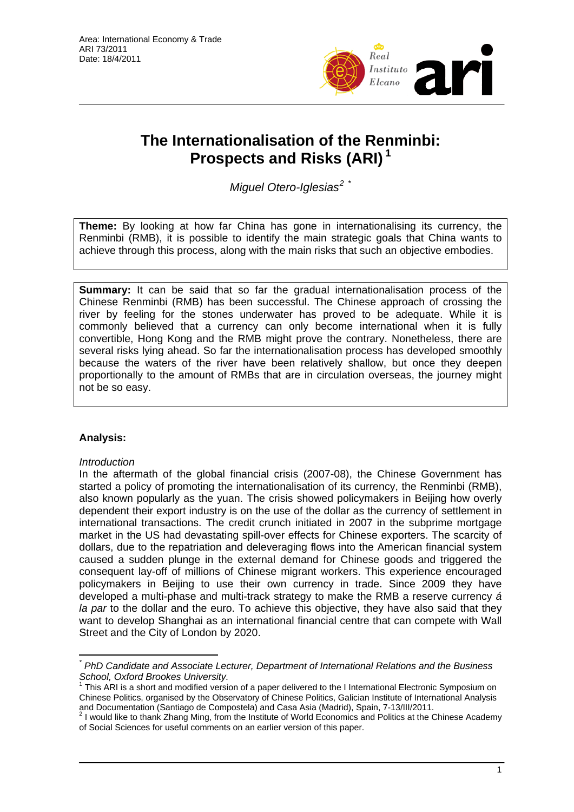

# **The Internationalisation of the Re[nm](#page-0-0)inbi: Prospects and Risks (ARI) [1](#page-0-0)**

*Miguel Otero-Iglesias[2](#page-0-1)* [\\*](#page-0-2)

**Theme:** By looking at how far China has gone in internationalising its currency, the Renminbi (RMB), it is possible to identify the main strategic goals that China wants to achieve through this process, along with the main risks that such an objective embodies.

**Summary:** It can be said that so far the gradual internationalisation process of the Chinese Renminbi (RMB) has been successful. The Chinese approach of crossing the river by feeling for the stones underwater has proved to be adequate. While it is commonly believed that a currency can only become international when it is fully convertible, Hong Kong and the RMB might prove the contrary. Nonetheless, there are several risks lying ahead. So far the internationalisation process has developed smoothly because the waters of the river have been relatively shallow, but once they deepen proportionally to the amount of RMBs that are in circulation overseas, the journey might not be so easy.

## **Analysis:**

 $\overline{a}$ 

## *Introduction*

In the aftermath of the global financial crisis (2007-08), the Chinese Government has started a policy of promoting the internationalisation of its currency, the Renminbi (RMB), also known popularly as the yuan. The crisis showed policymakers in Beijing how overly dependent their export industry is on the use of the dollar as the currency of settlement in international transactions. The credit crunch initiated in 2007 in the subprime mortgage market in the US had devastating spill-over effects for Chinese exporters. The scarcity of dollars, due to the repatriation and deleveraging flows into the American financial system caused a sudden plunge in the external demand for Chinese goods and triggered the consequent lay-off of millions of Chinese migrant workers. This experience encouraged policymakers in Beijing to use their own currency in trade. Since 2009 they have developed a multi-phase and multi-track strategy to make the RMB a reserve currency *á la par* to the dollar and the euro. To achieve this objective, they have also said that they want to develop Shanghai as an international financial centre that can compete with Wall Street and the City of London by 2020.

<span id="page-0-0"></span>*<sup>\*</sup> PhD Candidate and Associate Lecturer, Department of International Relations and the Business* 

*School, Oxford Brookes University.*  1 This ARI is a short and modified version of a paper delivered to the I International Electronic Symposium on Chinese Politics, organised by the Observatory of Chinese Politics, Galician Institute of International Analysis and Documentation (Santiago de Compostela) and Casa Asia (Madrid), Spain, 7-13/III/2011.<br><sup>2</sup> I would like to thank Zhang Ming, from the Institute of World Economics and Politics at the Chinese Academy

<span id="page-0-2"></span><span id="page-0-1"></span>of Social Sciences for useful comments on an earlier version of this paper.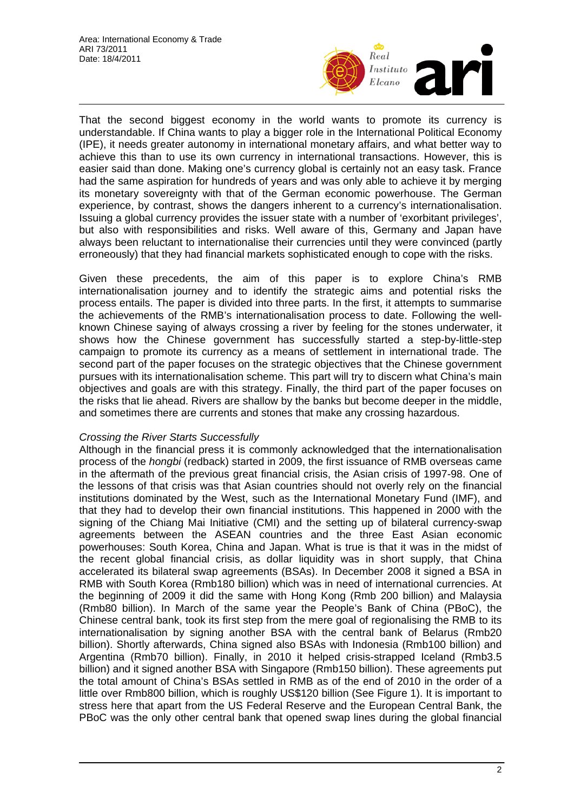

That the second biggest economy in the world wants to promote its currency is understandable. If China wants to play a bigger role in the International Political Economy (IPE), it needs greater autonomy in international monetary affairs, and what better way to achieve this than to use its own currency in international transactions. However, this is easier said than done. Making one's currency global is certainly not an easy task. France had the same aspiration for hundreds of years and was only able to achieve it by merging its monetary sovereignty with that of the German economic powerhouse. The German experience, by contrast, shows the dangers inherent to a currency's internationalisation. Issuing a global currency provides the issuer state with a number of 'exorbitant privileges', but also with responsibilities and risks. Well aware of this, Germany and Japan have always been reluctant to internationalise their currencies until they were convinced (partly erroneously) that they had financial markets sophisticated enough to cope with the risks.

Given these precedents, the aim of this paper is to explore China's RMB internationalisation journey and to identify the strategic aims and potential risks the process entails. The paper is divided into three parts. In the first, it attempts to summarise the achievements of the RMB's internationalisation process to date. Following the wellknown Chinese saying of always crossing a river by feeling for the stones underwater, it shows how the Chinese government has successfully started a step-by-little-step campaign to promote its currency as a means of settlement in international trade. The second part of the paper focuses on the strategic objectives that the Chinese government pursues with its internationalisation scheme. This part will try to discern what China's main objectives and goals are with this strategy. Finally, the third part of the paper focuses on the risks that lie ahead. Rivers are shallow by the banks but become deeper in the middle, and sometimes there are currents and stones that make any crossing hazardous.

## *Crossing the River Starts Successfully*

Although in the financial press it is commonly acknowledged that the internationalisation process of the *hongbi* (redback) started in 2009, the first issuance of RMB overseas came in the aftermath of the previous great financial crisis, the Asian crisis of 1997-98. One of the lessons of that crisis was that Asian countries should not overly rely on the financial institutions dominated by the West, such as the International Monetary Fund (IMF), and that they had to develop their own financial institutions. This happened in 2000 with the signing of the Chiang Mai Initiative (CMI) and the setting up of bilateral currency-swap agreements between the ASEAN countries and the three East Asian economic powerhouses: South Korea, China and Japan. What is true is that it was in the midst of the recent global financial crisis, as dollar liquidity was in short supply, that China accelerated its bilateral swap agreements (BSAs). In December 2008 it signed a BSA in RMB with South Korea (Rmb180 billion) which was in need of international currencies. At the beginning of 2009 it did the same with Hong Kong (Rmb 200 billion) and Malaysia (Rmb80 billion). In March of the same year the People's Bank of China (PBoC), the Chinese central bank, took its first step from the mere goal of regionalising the RMB to its internationalisation by signing another BSA with the central bank of Belarus (Rmb20 billion). Shortly afterwards, China signed also BSAs with Indonesia (Rmb100 billion) and Argentina (Rmb70 billion). Finally, in 2010 it helped crisis-strapped Iceland (Rmb3.5 billion) and it signed another BSA with Singapore (Rmb150 billion). These agreements put the total amount of China's BSAs settled in RMB as of the end of 2010 in the order of a little over Rmb800 billion, which is roughly US\$120 billion (See Figure 1). It is important to stress here that apart from the US Federal Reserve and the European Central Bank, the PBoC was the only other central bank that opened swap lines during the global financial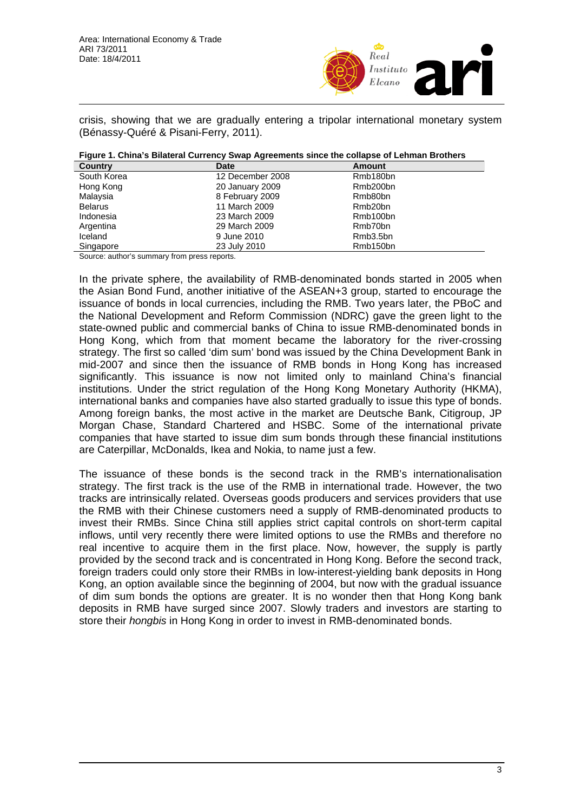

crisis, showing that we are gradually entering a tripolar international monetary system (Bénassy-Quéré & Pisani-Ferry, 2011).

|  |  | Figure 1. China's Bilateral Currency Swap Agreements since the collapse of Lehman Brothers |  |
|--|--|--------------------------------------------------------------------------------------------|--|
|  |  |                                                                                            |  |

| <b>Country</b> | <b>Date</b>      | Amount               |  |
|----------------|------------------|----------------------|--|
| South Korea    | 12 December 2008 | Rmb180bn             |  |
| Hong Kong      | 20 January 2009  | Rmb200bn             |  |
| Malaysia       | 8 February 2009  | Rmb80bn              |  |
| <b>Belarus</b> | 11 March 2009    | Rmb <sub>20</sub> bn |  |
| Indonesia      | 23 March 2009    | Rmb100bn             |  |
| Argentina      | 29 March 2009    | Rmb70bn              |  |
| Iceland        | 9 June 2010      | Rmb3.5bn             |  |
| Singapore      | 23 July 2010     | Rmb150bn             |  |

Source: author's summary from press reports.

In the private sphere, the availability of RMB-denominated bonds started in 2005 when the Asian Bond Fund, another initiative of the ASEAN+3 group, started to encourage the issuance of bonds in local currencies, including the RMB. Two years later, the PBoC and the National Development and Reform Commission (NDRC) gave the green light to the state-owned public and commercial banks of China to issue RMB-denominated bonds in Hong Kong, which from that moment became the laboratory for the river-crossing strategy. The first so called 'dim sum' bond was issued by the China Development Bank in mid-2007 and since then the issuance of RMB bonds in Hong Kong has increased significantly. This issuance is now not limited only to mainland China's financial institutions. Under the strict regulation of the Hong Kong Monetary Authority (HKMA), international banks and companies have also started gradually to issue this type of bonds. Among foreign banks, the most active in the market are Deutsche Bank, Citigroup, JP Morgan Chase, Standard Chartered and HSBC. Some of the international private companies that have started to issue dim sum bonds through these financial institutions are Caterpillar, McDonalds, Ikea and Nokia, to name just a few.

The issuance of these bonds is the second track in the RMB's internationalisation strategy. The first track is the use of the RMB in international trade. However, the two tracks are intrinsically related. Overseas goods producers and services providers that use the RMB with their Chinese customers need a supply of RMB-denominated products to invest their RMBs. Since China still applies strict capital controls on short-term capital inflows, until very recently there were limited options to use the RMBs and therefore no real incentive to acquire them in the first place. Now, however, the supply is partly provided by the second track and is concentrated in Hong Kong. Before the second track, foreign traders could only store their RMBs in low-interest-yielding bank deposits in Hong Kong, an option available since the beginning of 2004, but now with the gradual issuance of dim sum bonds the options are greater. It is no wonder then that Hong Kong bank deposits in RMB have surged since 2007. Slowly traders and investors are starting to store their *hongbis* in Hong Kong in order to invest in RMB-denominated bonds.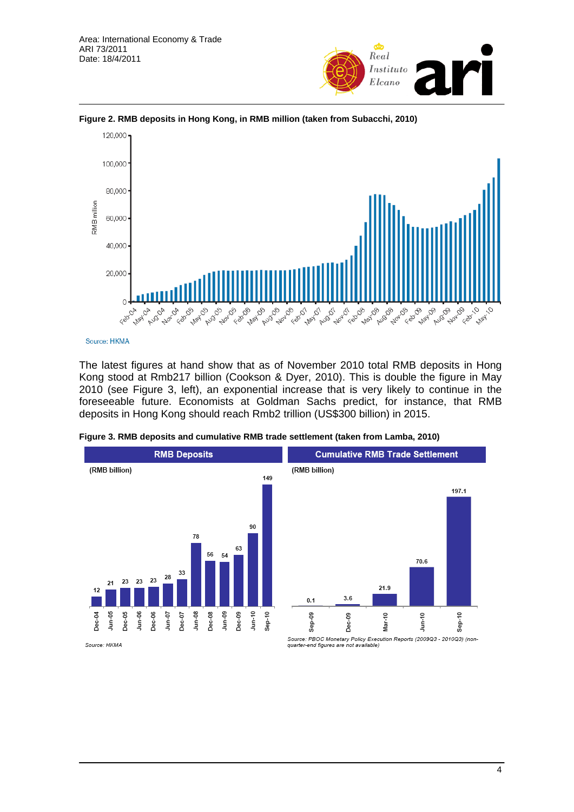



**Figure 2. RMB deposits in Hong Kong, in RMB million (taken from Subacchi, 2010)** 

Source: HKMA

The latest figures at hand show that as of November 2010 total RMB deposits in Hong Kong stood at Rmb217 billion (Cookson & Dyer, 2010). This is double the figure in May 2010 (see Figure 3, left), an exponential increase that is very likely to continue in the foreseeable future. Economists at Goldman Sachs predict, for instance, that RMB deposits in Hong Kong should reach Rmb2 trillion (US\$300 billion) in 2015.

**Figure 3. RMB deposits and cumulative RMB trade settlement (taken from Lamba, 2010)** 



**Cumulative RMB Trade Settlement** (RMB billion) 197.1 70.6 21.9  $3.6$  $0.1$  $J$ un-10  $\cong$ కి Mar-10 g Ŝė ن<br>گ å<br>Sep

Source: HKMA

Source: PBOC Monetary Policy Execution Reports (2009Q3 - 2010Q3) (nonquarter-end figures are not available)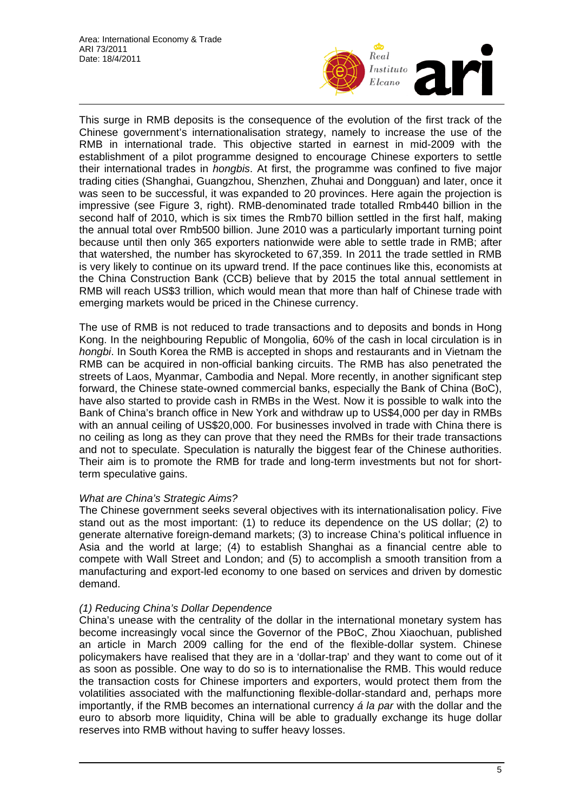

This surge in RMB deposits is the consequence of the evolution of the first track of the Chinese government's internationalisation strategy, namely to increase the use of the RMB in international trade. This objective started in earnest in mid-2009 with the establishment of a pilot programme designed to encourage Chinese exporters to settle their international trades in *hongbis*. At first, the programme was confined to five major trading cities (Shanghai, Guangzhou, Shenzhen, Zhuhai and Dongguan) and later, once it was seen to be successful, it was expanded to 20 provinces. Here again the projection is impressive (see Figure 3, right). RMB-denominated trade totalled Rmb440 billion in the second half of 2010, which is six times the Rmb70 billion settled in the first half, making the annual total over Rmb500 billion. June 2010 was a particularly important turning point because until then only 365 exporters nationwide were able to settle trade in RMB; after that watershed, the number has skyrocketed to 67,359. In 2011 the trade settled in RMB is very likely to continue on its upward trend. If the pace continues like this, economists at the China Construction Bank (CCB) believe that by 2015 the total annual settlement in RMB will reach US\$3 trillion, which would mean that more than half of Chinese trade with emerging markets would be priced in the Chinese currency.

The use of RMB is not reduced to trade transactions and to deposits and bonds in Hong Kong. In the neighbouring Republic of Mongolia, 60% of the cash in local circulation is in *hongbi*. In South Korea the RMB is accepted in shops and restaurants and in Vietnam the RMB can be acquired in non-official banking circuits. The RMB has also penetrated the streets of Laos, Myanmar, Cambodia and Nepal. More recently, in another significant step forward, the Chinese state-owned commercial banks, especially the Bank of China (BoC), have also started to provide cash in RMBs in the West. Now it is possible to walk into the Bank of China's branch office in New York and withdraw up to US\$4,000 per day in RMBs with an annual ceiling of US\$20,000. For businesses involved in trade with China there is no ceiling as long as they can prove that they need the RMBs for their trade transactions and not to speculate. Speculation is naturally the biggest fear of the Chinese authorities. Their aim is to promote the RMB for trade and long-term investments but not for shortterm speculative gains.

## *What are China's Strategic Aims?*

The Chinese government seeks several objectives with its internationalisation policy. Five stand out as the most important: (1) to reduce its dependence on the US dollar; (2) to generate alternative foreign-demand markets; (3) to increase China's political influence in Asia and the world at large; (4) to establish Shanghai as a financial centre able to compete with Wall Street and London; and (5) to accomplish a smooth transition from a manufacturing and export-led economy to one based on services and driven by domestic demand.

## *(1) Reducing China's Dollar Dependence*

China's unease with the centrality of the dollar in the international monetary system has become increasingly vocal since the Governor of the PBoC, Zhou Xiaochuan, published an article in March 2009 calling for the end of the flexible-dollar system. Chinese policymakers have realised that they are in a 'dollar-trap' and they want to come out of it as soon as possible. One way to do so is to internationalise the RMB. This would reduce the transaction costs for Chinese importers and exporters, would protect them from the volatilities associated with the malfunctioning flexible-dollar-standard and, perhaps more importantly, if the RMB becomes an international currency *á la par* with the dollar and the euro to absorb more liquidity, China will be able to gradually exchange its huge dollar reserves into RMB without having to suffer heavy losses.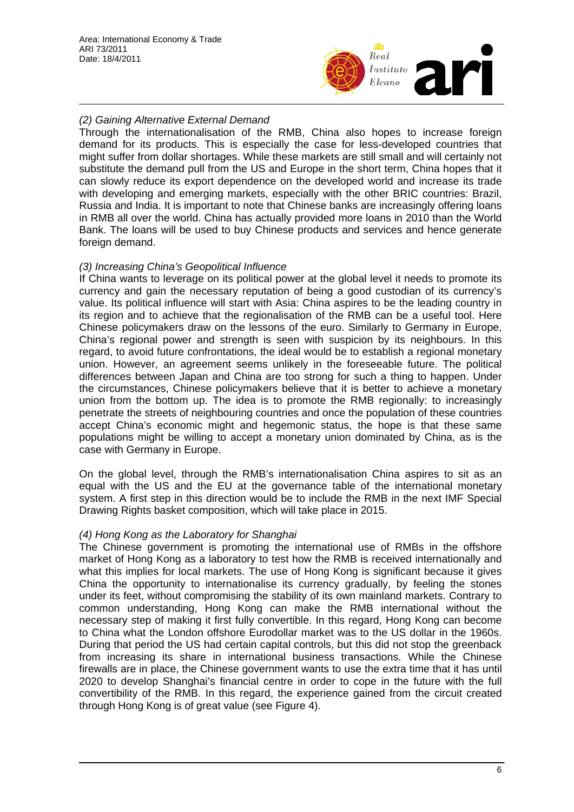

## *(2) Gaining Alternative External Demand*

Through the internationalisation of the RMB, China also hopes to increase foreign demand for its products. This is especially the case for less-developed countries that might suffer from dollar shortages. While these markets are still small and will certainly not substitute the demand pull from the US and Europe in the short term, China hopes that it can slowly reduce its export dependence on the developed world and increase its trade with developing and emerging markets, especially with the other BRIC countries: Brazil, Russia and India. It is important to note that Chinese banks are increasingly offering loans in RMB all over the world. China has actually provided more loans in 2010 than the World Bank. The loans will be used to buy Chinese products and services and hence generate foreign demand.

## *(3) Increasing China's Geopolitical Influence*

If China wants to leverage on its political power at the global level it needs to promote its currency and gain the necessary reputation of being a good custodian of its currency's value. Its political influence will start with Asia: China aspires to be the leading country in its region and to achieve that the regionalisation of the RMB can be a useful tool. Here Chinese policymakers draw on the lessons of the euro. Similarly to Germany in Europe, China's regional power and strength is seen with suspicion by its neighbours. In this regard, to avoid future confrontations, the ideal would be to establish a regional monetary union. However, an agreement seems unlikely in the foreseeable future. The political differences between Japan and China are too strong for such a thing to happen. Under the circumstances, Chinese policymakers believe that it is better to achieve a monetary union from the bottom up. The idea is to promote the RMB regionally: to increasingly penetrate the streets of neighbouring countries and once the population of these countries accept China's economic might and hegemonic status, the hope is that these same populations might be willing to accept a monetary union dominated by China, as is the case with Germany in Europe.

On the global level, through the RMB's internationalisation China aspires to sit as an equal with the US and the EU at the governance table of the international monetary system. A first step in this direction would be to include the RMB in the next IMF Special Drawing Rights basket composition, which will take place in 2015.

## *(4) Hong Kong as the Laboratory for Shanghai*

The Chinese government is promoting the international use of RMBs in the offshore market of Hong Kong as a laboratory to test how the RMB is received internationally and what this implies for local markets. The use of Hong Kong is significant because it gives China the opportunity to internationalise its currency gradually, by feeling the stones under its feet, without compromising the stability of its own mainland markets. Contrary to common understanding, Hong Kong can make the RMB international without the necessary step of making it first fully convertible. In this regard, Hong Kong can become to China what the London offshore Eurodollar market was to the US dollar in the 1960s. During that period the US had certain capital controls, but this did not stop the greenback from increasing its share in international business transactions. While the Chinese firewalls are in place, the Chinese government wants to use the extra time that it has until 2020 to develop Shanghai's financial centre in order to cope in the future with the full convertibility of the RMB. In this regard, the experience gained from the circuit created through Hong Kong is of great value (see Figure 4).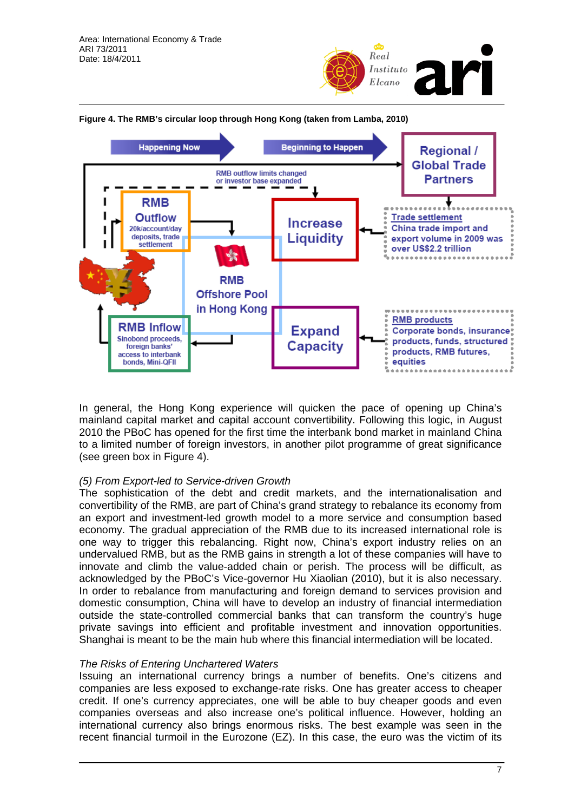



#### **Figure 4. The RMB's circular loop through Hong Kong (taken from Lamba, 2010)**

In general, the Hong Kong experience will quicken the pace of opening up China's mainland capital market and capital account convertibility. Following this logic, in August 2010 the PBoC has opened for the first time the interbank bond market in mainland China to a limited number of foreign investors, in another pilot programme of great significance (see green box in Figure 4).

#### *(5) From Export-led to Service-driven Growth*

The sophistication of the debt and credit markets, and the internationalisation and convertibility of the RMB, are part of China's grand strategy to rebalance its economy from an export and investment-led growth model to a more service and consumption based economy. The gradual appreciation of the RMB due to its increased international role is one way to trigger this rebalancing. Right now, China's export industry relies on an undervalued RMB, but as the RMB gains in strength a lot of these companies will have to innovate and climb the value-added chain or perish. The process will be difficult, as acknowledged by the PBoC's Vice-governor Hu Xiaolian (2010), but it is also necessary. In order to rebalance from manufacturing and foreign demand to services provision and domestic consumption, China will have to develop an industry of financial intermediation outside the state-controlled commercial banks that can transform the country's huge private savings into efficient and profitable investment and innovation opportunities. Shanghai is meant to be the main hub where this financial intermediation will be located.

#### *The Risks of Entering Unchartered Waters*

Issuing an international currency brings a number of benefits. One's citizens and companies are less exposed to exchange-rate risks. One has greater access to cheaper credit. If one's currency appreciates, one will be able to buy cheaper goods and even companies overseas and also increase one's political influence. However, holding an international currency also brings enormous risks. The best example was seen in the recent financial turmoil in the Eurozone (EZ). In this case, the euro was the victim of its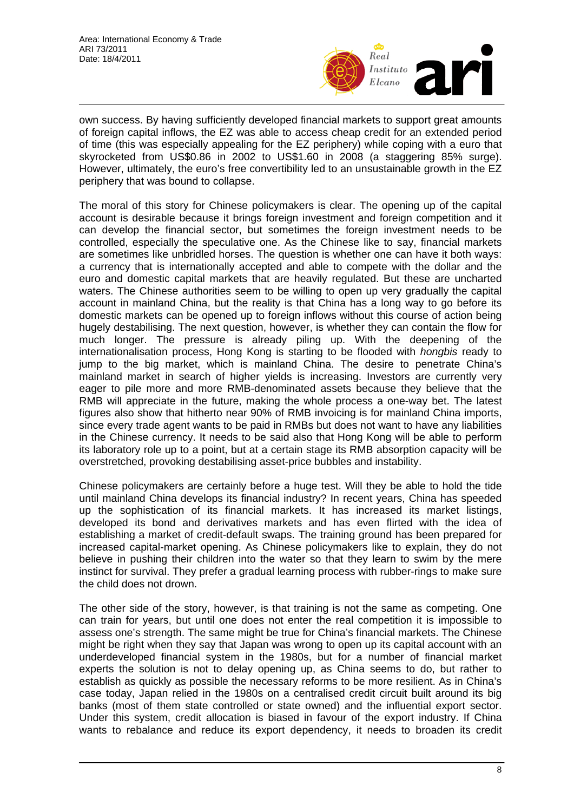

own success. By having sufficiently developed financial markets to support great amounts of foreign capital inflows, the EZ was able to access cheap credit for an extended period of time (this was especially appealing for the EZ periphery) while coping with a euro that skyrocketed from US\$0.86 in 2002 to US\$1.60 in 2008 (a staggering 85% surge). However, ultimately, the euro's free convertibility led to an unsustainable growth in the EZ periphery that was bound to collapse.

The moral of this story for Chinese policymakers is clear. The opening up of the capital account is desirable because it brings foreign investment and foreign competition and it can develop the financial sector, but sometimes the foreign investment needs to be controlled, especially the speculative one. As the Chinese like to say, financial markets are sometimes like unbridled horses. The question is whether one can have it both ways: a currency that is internationally accepted and able to compete with the dollar and the euro and domestic capital markets that are heavily regulated. But these are uncharted waters. The Chinese authorities seem to be willing to open up very gradually the capital account in mainland China, but the reality is that China has a long way to go before its domestic markets can be opened up to foreign inflows without this course of action being hugely destabilising. The next question, however, is whether they can contain the flow for much longer. The pressure is already piling up. With the deepening of the internationalisation process, Hong Kong is starting to be flooded with *hongbis* ready to jump to the big market, which is mainland China. The desire to penetrate China's mainland market in search of higher yields is increasing. Investors are currently very eager to pile more and more RMB-denominated assets because they believe that the RMB will appreciate in the future, making the whole process a one-way bet. The latest figures also show that hitherto near 90% of RMB invoicing is for mainland China imports, since every trade agent wants to be paid in RMBs but does not want to have any liabilities in the Chinese currency. It needs to be said also that Hong Kong will be able to perform its laboratory role up to a point, but at a certain stage its RMB absorption capacity will be overstretched, provoking destabilising asset-price bubbles and instability.

Chinese policymakers are certainly before a huge test. Will they be able to hold the tide until mainland China develops its financial industry? In recent years, China has speeded up the sophistication of its financial markets. It has increased its market listings, developed its bond and derivatives markets and has even flirted with the idea of establishing a market of credit-default swaps. The training ground has been prepared for increased capital-market opening. As Chinese policymakers like to explain, they do not believe in pushing their children into the water so that they learn to swim by the mere instinct for survival. They prefer a gradual learning process with rubber-rings to make sure the child does not drown.

The other side of the story, however, is that training is not the same as competing. One can train for years, but until one does not enter the real competition it is impossible to assess one's strength. The same might be true for China's financial markets. The Chinese might be right when they say that Japan was wrong to open up its capital account with an underdeveloped financial system in the 1980s, but for a number of financial market experts the solution is not to delay opening up, as China seems to do, but rather to establish as quickly as possible the necessary reforms to be more resilient. As in China's case today, Japan relied in the 1980s on a centralised credit circuit built around its big banks (most of them state controlled or state owned) and the influential export sector. Under this system, credit allocation is biased in favour of the export industry. If China wants to rebalance and reduce its export dependency, it needs to broaden its credit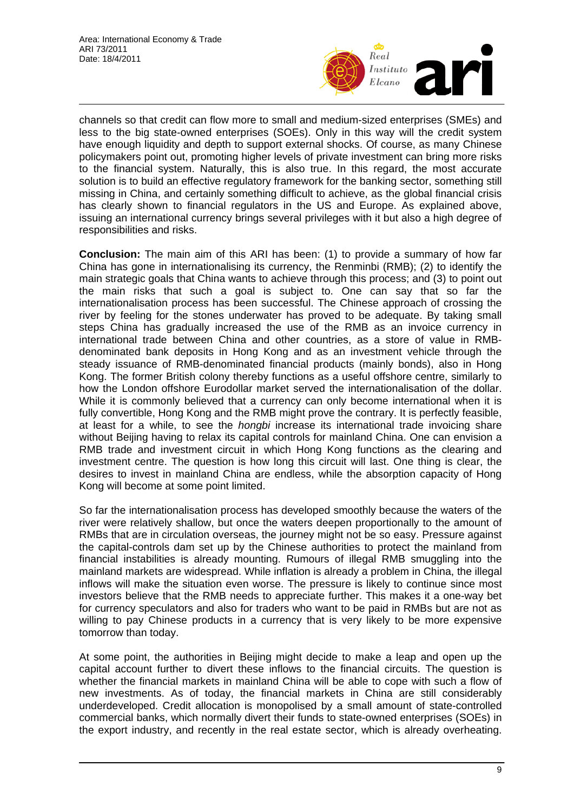

channels so that credit can flow more to small and medium-sized enterprises (SMEs) and less to the big state-owned enterprises (SOEs). Only in this way will the credit system have enough liquidity and depth to support external shocks. Of course, as many Chinese policymakers point out, promoting higher levels of private investment can bring more risks to the financial system. Naturally, this is also true. In this regard, the most accurate solution is to build an effective regulatory framework for the banking sector, something still missing in China, and certainly something difficult to achieve, as the global financial crisis has clearly shown to financial regulators in the US and Europe. As explained above, issuing an international currency brings several privileges with it but also a high degree of responsibilities and risks.

**Conclusion:** The main aim of this ARI has been: (1) to provide a summary of how far China has gone in internationalising its currency, the Renminbi (RMB); (2) to identify the main strategic goals that China wants to achieve through this process; and (3) to point out the main risks that such a goal is subject to. One can say that so far the internationalisation process has been successful. The Chinese approach of crossing the river by feeling for the stones underwater has proved to be adequate. By taking small steps China has gradually increased the use of the RMB as an invoice currency in international trade between China and other countries, as a store of value in RMBdenominated bank deposits in Hong Kong and as an investment vehicle through the steady issuance of RMB-denominated financial products (mainly bonds), also in Hong Kong. The former British colony thereby functions as a useful offshore centre, similarly to how the London offshore Eurodollar market served the internationalisation of the dollar. While it is commonly believed that a currency can only become international when it is fully convertible, Hong Kong and the RMB might prove the contrary. It is perfectly feasible, at least for a while, to see the *hongbi* increase its international trade invoicing share without Beijing having to relax its capital controls for mainland China. One can envision a RMB trade and investment circuit in which Hong Kong functions as the clearing and investment centre. The question is how long this circuit will last. One thing is clear, the desires to invest in mainland China are endless, while the absorption capacity of Hong Kong will become at some point limited.

So far the internationalisation process has developed smoothly because the waters of the river were relatively shallow, but once the waters deepen proportionally to the amount of RMBs that are in circulation overseas, the journey might not be so easy. Pressure against the capital-controls dam set up by the Chinese authorities to protect the mainland from financial instabilities is already mounting. Rumours of illegal RMB smuggling into the mainland markets are widespread. While inflation is already a problem in China, the illegal inflows will make the situation even worse. The pressure is likely to continue since most investors believe that the RMB needs to appreciate further. This makes it a one-way bet for currency speculators and also for traders who want to be paid in RMBs but are not as willing to pay Chinese products in a currency that is very likely to be more expensive tomorrow than today.

At some point, the authorities in Beijing might decide to make a leap and open up the capital account further to divert these inflows to the financial circuits. The question is whether the financial markets in mainland China will be able to cope with such a flow of new investments. As of today, the financial markets in China are still considerably underdeveloped. Credit allocation is monopolised by a small amount of state-controlled commercial banks, which normally divert their funds to state-owned enterprises (SOEs) in the export industry, and recently in the real estate sector, which is already overheating.